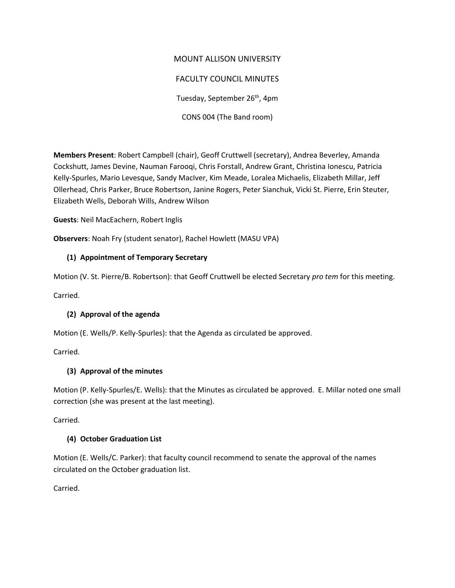# MOUNT ALLISON UNIVERSITY FACULTY COUNCIL MINUTES Tuesday, September 26<sup>th</sup>, 4pm CONS 004 (The Band room)

**Members Present**: Robert Campbell (chair), Geoff Cruttwell (secretary), Andrea Beverley, Amanda Cockshutt, James Devine, Nauman Farooqi, Chris Forstall, Andrew Grant, Christina Ionescu, Patricia Kelly-Spurles, Mario Levesque, Sandy MacIver, Kim Meade, Loralea Michaelis, Elizabeth Millar, Jeff Ollerhead, Chris Parker, Bruce Robertson, Janine Rogers, Peter Sianchuk, Vicki St. Pierre, Erin Steuter, Elizabeth Wells, Deborah Wills, Andrew Wilson

**Guests**: Neil MacEachern, Robert Inglis

**Observers**: Noah Fry (student senator), Rachel Howlett (MASU VPA)

## **(1) Appointment of Temporary Secretary**

Motion (V. St. Pierre/B. Robertson): that Geoff Cruttwell be elected Secretary *pro tem* for this meeting.

Carried.

### **(2) Approval of the agenda**

Motion (E. Wells/P. Kelly-Spurles): that the Agenda as circulated be approved.

Carried.

## **(3) Approval of the minutes**

Motion (P. Kelly-Spurles/E. Wells): that the Minutes as circulated be approved. E. Millar noted one small correction (she was present at the last meeting).

Carried.

## **(4) October Graduation List**

Motion (E. Wells/C. Parker): that faculty council recommend to senate the approval of the names circulated on the October graduation list.

Carried.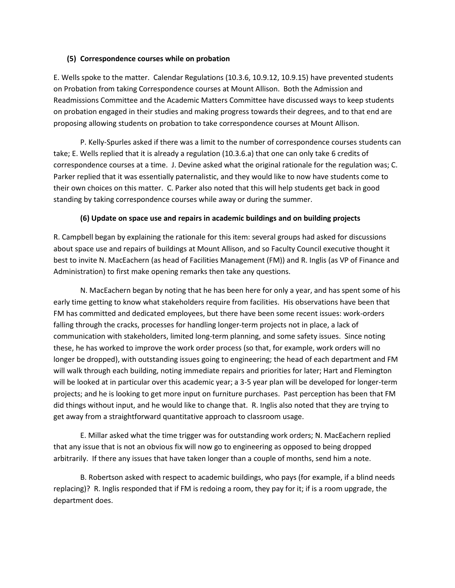#### **(5) Correspondence courses while on probation**

E. Wells spoke to the matter. Calendar Regulations (10.3.6, 10.9.12, 10.9.15) have prevented students on Probation from taking Correspondence courses at Mount Allison. Both the Admission and Readmissions Committee and the Academic Matters Committee have discussed ways to keep students on probation engaged in their studies and making progress towards their degrees, and to that end are proposing allowing students on probation to take correspondence courses at Mount Allison.

P. Kelly-Spurles asked if there was a limit to the number of correspondence courses students can take; E. Wells replied that it is already a regulation (10.3.6.a) that one can only take 6 credits of correspondence courses at a time. J. Devine asked what the original rationale for the regulation was; C. Parker replied that it was essentially paternalistic, and they would like to now have students come to their own choices on this matter. C. Parker also noted that this will help students get back in good standing by taking correspondence courses while away or during the summer.

#### **(6) Update on space use and repairs in academic buildings and on building projects**

R. Campbell began by explaining the rationale for this item: several groups had asked for discussions about space use and repairs of buildings at Mount Allison, and so Faculty Council executive thought it best to invite N. MacEachern (as head of Facilities Management (FM)) and R. Inglis (as VP of Finance and Administration) to first make opening remarks then take any questions.

N. MacEachern began by noting that he has been here for only a year, and has spent some of his early time getting to know what stakeholders require from facilities. His observations have been that FM has committed and dedicated employees, but there have been some recent issues: work-orders falling through the cracks, processes for handling longer-term projects not in place, a lack of communication with stakeholders, limited long-term planning, and some safety issues. Since noting these, he has worked to improve the work order process (so that, for example, work orders will no longer be dropped), with outstanding issues going to engineering; the head of each department and FM will walk through each building, noting immediate repairs and priorities for later; Hart and Flemington will be looked at in particular over this academic year; a 3-5 year plan will be developed for longer-term projects; and he is looking to get more input on furniture purchases. Past perception has been that FM did things without input, and he would like to change that. R. Inglis also noted that they are trying to get away from a straightforward quantitative approach to classroom usage.

E. Millar asked what the time trigger was for outstanding work orders; N. MacEachern replied that any issue that is not an obvious fix will now go to engineering as opposed to being dropped arbitrarily. If there any issues that have taken longer than a couple of months, send him a note.

B. Robertson asked with respect to academic buildings, who pays (for example, if a blind needs replacing)? R. Inglis responded that if FM is redoing a room, they pay for it; if is a room upgrade, the department does.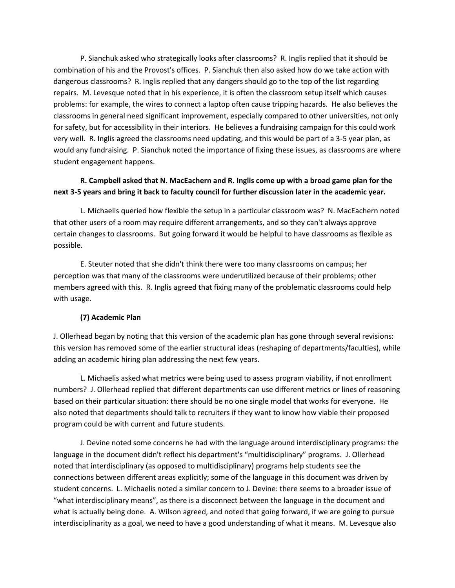P. Sianchuk asked who strategically looks after classrooms? R. Inglis replied that it should be combination of his and the Provost's offices. P. Sianchuk then also asked how do we take action with dangerous classrooms? R. Inglis replied that any dangers should go to the top of the list regarding repairs. M. Levesque noted that in his experience, it is often the classroom setup itself which causes problems: for example, the wires to connect a laptop often cause tripping hazards. He also believes the classrooms in general need significant improvement, especially compared to other universities, not only for safety, but for accessibility in their interiors. He believes a fundraising campaign for this could work very well. R. Inglis agreed the classrooms need updating, and this would be part of a 3-5 year plan, as would any fundraising. P. Sianchuk noted the importance of fixing these issues, as classrooms are where student engagement happens.

## **R. Campbell asked that N. MacEachern and R. Inglis come up with a broad game plan for the next 3-5 years and bring it back to faculty council for further discussion later in the academic year.**

L. Michaelis queried how flexible the setup in a particular classroom was? N. MacEachern noted that other users of a room may require different arrangements, and so they can't always approve certain changes to classrooms. But going forward it would be helpful to have classrooms as flexible as possible.

E. Steuter noted that she didn't think there were too many classrooms on campus; her perception was that many of the classrooms were underutilized because of their problems; other members agreed with this. R. Inglis agreed that fixing many of the problematic classrooms could help with usage.

### **(7) Academic Plan**

J. Ollerhead began by noting that this version of the academic plan has gone through several revisions: this version has removed some of the earlier structural ideas (reshaping of departments/faculties), while adding an academic hiring plan addressing the next few years.

L. Michaelis asked what metrics were being used to assess program viability, if not enrollment numbers? J. Ollerhead replied that different departments can use different metrics or lines of reasoning based on their particular situation: there should be no one single model that works for everyone. He also noted that departments should talk to recruiters if they want to know how viable their proposed program could be with current and future students.

J. Devine noted some concerns he had with the language around interdisciplinary programs: the language in the document didn't reflect his department's "multidisciplinary" programs. J. Ollerhead noted that interdisciplinary (as opposed to multidisciplinary) programs help students see the connections between different areas explicitly; some of the language in this document was driven by student concerns. L. Michaelis noted a similar concern to J. Devine: there seems to a broader issue of "what interdisciplinary means", as there is a disconnect between the language in the document and what is actually being done. A. Wilson agreed, and noted that going forward, if we are going to pursue interdisciplinarity as a goal, we need to have a good understanding of what it means. M. Levesque also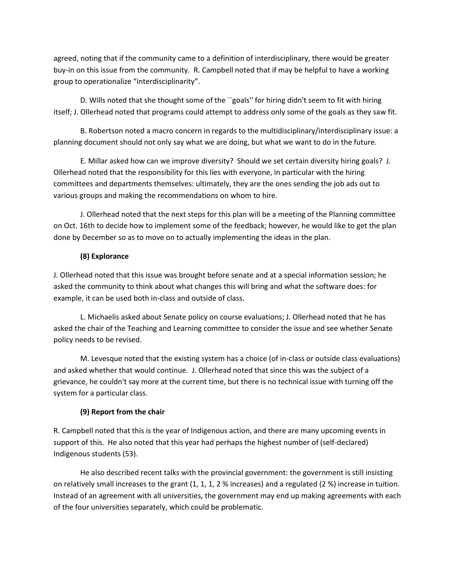agreed, noting that if the community came to a definition of interdisciplinary, there would be greater buy-in on this issue from the community. R. Campbell noted that if may be helpful to have a working group to operationalize "interdisciplinarity".

D. Wills noted that she thought some of the ``goals'' for hiring didn't seem to fit with hiring itself; J. Ollerhead noted that programs could attempt to address only some of the goals as they saw fit.

B. Robertson noted a macro concern in regards to the multidisciplinary/interdisciplinary issue: a planning document should not only say what we are doing, but what we want to do in the future.

E. Millar asked how can we improve diversity? Should we set certain diversity hiring goals? J. Ollerhead noted that the responsibility for this lies with everyone, in particular with the hiring committees and departments themselves: ultimately, they are the ones sending the job ads out to various groups and making the recommendations on whom to hire.

J. Ollerhead noted that the next steps for this plan will be a meeting of the Planning committee on Oct. 16th to decide how to implement some of the feedback; however, he would like to get the plan done by December so as to move on to actually implementing the ideas in the plan.

### **(8) Explorance**

J. Ollerhead noted that this issue was brought before senate and at a special information session; he asked the community to think about what changes this will bring and what the software does: for example, it can be used both in-class and outside of class.

L. Michaelis asked about Senate policy on course evaluations; J. Ollerhead noted that he has asked the chair of the Teaching and Learning committee to consider the issue and see whether Senate policy needs to be revised.

M. Levesque noted that the existing system has a choice (of in-class or outside class evaluations) and asked whether that would continue. J. Ollerhead noted that since this was the subject of a grievance, he couldn't say more at the current time, but there is no technical issue with turning off the system for a particular class.

## **(9) Report from the chair**

R. Campbell noted that this is the year of Indigenous action, and there are many upcoming events in support of this. He also noted that this year had perhaps the highest number of (self-declared) Indigenous students (53).

He also described recent talks with the provincial government: the government is still insisting on relatively small increases to the grant (1, 1, 1, 2 % increases) and a regulated (2 %) increase in tuition. Instead of an agreement with all universities, the government may end up making agreements with each of the four universities separately, which could be problematic.